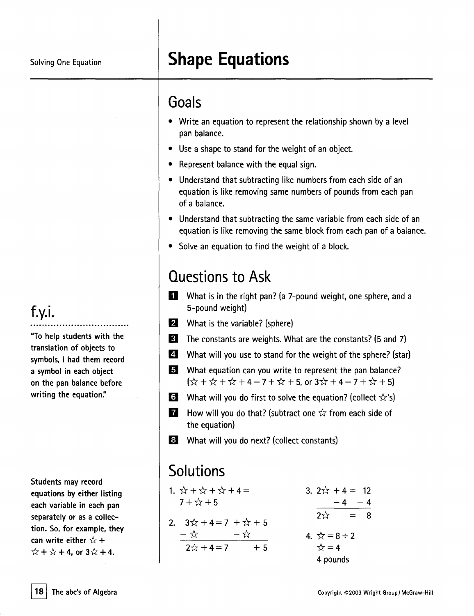# Solving One Equation **Shape Equations**

#### Goals

- . Write an equation to represent the relationship shown by <sup>a</sup> level pan balance.
- . Use <sup>a</sup> shape to stand for the weight of an object.
- . Represent balance with the equal sign.
- . Understand that subtracting like numbers from each side of an equation is like removing same numbers of pounds from each pan of a balance.
- . Understand that subtracting the same variable from each side of an equation is like removing the same block from each pan of a balance.
- . Solve an equation to find the weight of <sup>a</sup> block.

### Questions to Ask

- $\blacksquare$  What is in the right pan? (a 7-pound weight, one sphere, and a 5-pound weight)
- $\mathbf{2}$  What is the variable? (sphere)
- **B** The constants are weights. What are the constants? (5 and 7)
- **II** What will you use to stand for the weight of the sphere? (star)
- **5** What equation can you write to represent the pan balance?  $\left[\begin{array}{ccc} \downarrow & + & \downarrow & + \downarrow & +4 = 7 + \downarrow & +5, \text{ or } 3 \uparrow & +4 = 7 + \downarrow & +5 \end{array}\right]$
- **Ii** What will you do first to solve the equation? (collect  $\hat{\chi}$ 's)
- **1** How will you do that? (subtract one  $\frac{1}{\sqrt{2}}$  from each side of the equation)
- **8** What will you do next? (collect constants)

## **Solutions**

| 1. $\hat{x} + \hat{x} + \hat{x} + 4 =$ |  | 3. $2x^2 + 4 = 12$       |  |
|----------------------------------------|--|--------------------------|--|
| $7 + x + 5$                            |  | $-4 - 4$                 |  |
| 2. $3\sqrt{1} + 4 = 7 + \sqrt{1} + 5$  |  | $2\sqrt[4]{x}$<br>$= 8$  |  |
| — ☆     一☆                             |  | 4. $\sqrt{x} = 8 \div 2$ |  |
| $2x + 4 = 7 + 5$                       |  | $\frac{1}{\sqrt{2}} = 4$ |  |
|                                        |  | 4 pounds                 |  |

#### f.y.i. ..................................

"To help students with the translation of objects to symbols. I had them record a symbol in each object on the pan balance before writing the equation."

Students may record equations by either listing each variable in each pan separately or as a collection. So, for example, they  $\frac{1}{2}$  can write either  $\frac{1}{x}$  +  $\hat{x}$  +  $\hat{x}$  + 4, or 3 $\hat{x}$  + 4.